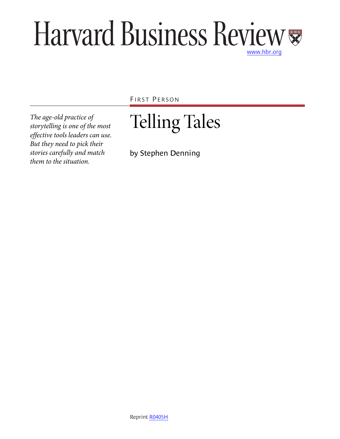## Harvard Business Review [www.hbr.org](http://www.hbr.org)

FIRST PERSON

Telling Tales

by Stephen Denning

*The age-old practice of storytelling is one of the most effective tools leaders can use. But they need to pick their stories carefully and match them to the situation.*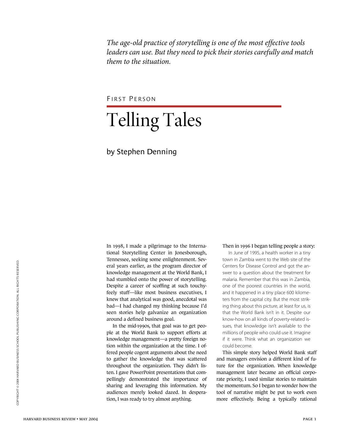*The age-old practice of storytelling is one of the most effective tools leaders can use. But they need to pick their stories carefully and match them to the situation.*

FIRST PERSON

# Telling Tales

by Stephen Denning

In 1998, I made a pilgrimage to the International Storytelling Center in Jonesborough, Tennessee, seeking some enlightenment. Several years earlier, as the program director of knowledge management at the World Bank, I had stumbled onto the power of storytelling. Despite a career of scoffing at such touchyfeely stuff—like most business executives, I knew that analytical was good, anecdotal was bad—I had changed my thinking because I'd seen stories help galvanize an organization around a defined business goal.

In the mid-1990s, that goal was to get people at the World Bank to support efforts at knowledge management—a pretty foreign notion within the organization at the time. I offered people cogent arguments about the need to gather the knowledge that was scattered throughout the organization. They didn't listen. I gave PowerPoint presentations that compellingly demonstrated the importance of sharing and leveraging this information. My audiences merely looked dazed. In desperation, I was ready to try almost anything.

#### Then in 1996 I began telling people a story:

In June of 1995, a health worker in a tiny town in Zambia went to the Web site of the Centers for Disease Control and got the answer to a question about the treatment for malaria. Remember that this was in Zambia, one of the poorest countries in the world, and it happened in a tiny place 600 kilometers from the capital city. But the most striking thing about this picture, at least for us, is that the World Bank isn't in it. Despite our know-how on all kinds of poverty-related issues, that knowledge isn't available to the millions of people who could use it. Imagine if it were. Think what an organization we could become.

This simple story helped World Bank staff and managers envision a different kind of future for the organization. When knowledge management later became an official corporate priority, I used similar stories to maintain the momentum. So I began to wonder how the tool of narrative might be put to work even more effectively. Being a typically rational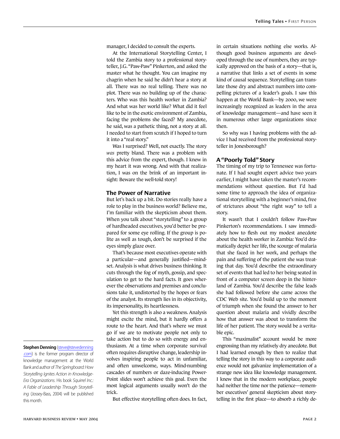manager, I decided to consult the experts.

At the International Storytelling Center, I told the Zambia story to a professional storyteller, J.G. "Paw-Paw" Pinkerton, and asked the master what he thought. You can imagine my chagrin when he said he didn't hear a story at all. There was no real telling. There was no plot. There was no building up of the characters. Who was this health worker in Zambia? And what was her world like? What did it feel like to be in the exotic environment of Zambia, facing the problems she faced? My anecdote, he said, was a pathetic thing, not a story at all. I needed to start from scratch if I hoped to turn it into a "real story."

Was I surprised? Well, not exactly. The story *was* pretty bland. There was a problem with this advice from the expert, though. I knew in my heart it was wrong. And with that realization, I was on the brink of an important insight: Beware the well-told story!

#### **The Power of Narrative**

But let's back up a bit. Do stories really have a role to play in the business world? Believe me, I'm familiar with the skepticism about them. When you talk about "storytelling" to a group of hardheaded executives, you'd better be prepared for some eye rolling. If the group is polite as well as tough, don't be surprised if the eyes simply glaze over.

That's because most executives operate with a particular—and generally justified—mindset. Analysis is what drives business thinking. It cuts through the fog of myth, gossip, and speculation to get to the hard facts. It goes wherever the observations and premises and conclusions take it, undistorted by the hopes or fears of the analyst. Its strength lies in its objectivity, its impersonality, its heartlessness.

Yet this strength is also a weakness. Analysis might excite the mind, but it hardly offers a route to the heart. And that's where we must go if we are to motivate people not only to take action but to do so with energy and enthusiasm. At a time when corporate survival often requires disruptive change, leadership involves inspiring people to act in unfamiliar, and often unwelcome, ways. Mind-numbing cascades of numbers or daze-inducing Power-Point slides won't achieve this goal. Even the most logical arguments usually won't do the trick.

But effective storytelling often does. In fact,

in certain situations nothing else works. Although good business arguments are developed through the use of numbers, they are typically approved on the basis of a story—that is, a narrative that links a set of events in some kind of causal sequence. Storytelling can translate those dry and abstract numbers into compelling pictures of a leader's goals. I saw this happen at the World Bank—by 2000, we were increasingly recognized as leaders in the area of knowledge management—and have seen it in numerous other large organizations since then.

So why was I having problems with the advice I had received from the professional storyteller in Jonesborough?

#### **A "Poorly Told" Story**

The timing of my trip to Tennessee was fortunate. If I had sought expert advice two years earlier, I might have taken the master's recommendations without question. But I'd had some time to approach the idea of organizational storytelling with a beginner's mind, free of strictures about "the right way" to tell a story.

It wasn't that I couldn't follow Paw-Paw Pinkerton's recommendations. I saw immediately how to flesh out my modest anecdote about the health worker in Zambia: You'd dramatically depict her life, the scourge of malaria that she faced in her work, and perhaps the pain and suffering of the patient she was treating that day. You'd describe the extraordinary set of events that had led to her being seated in front of a computer screen deep in the hinterland of Zambia. You'd describe the false leads she had followed before she came across the CDC Web site. You'd build up to the moment of triumph when she found the answer to her question about malaria and vividly describe how that answer was about to transform the life of her patient. The story would be a veritable epic.

This "maximalist" account would be more engrossing than my relatively dry anecdote. But I had learned enough by then to realize that telling the story in this way to a corporate audience would not galvanize implementation of a strange new idea like knowledge management. I knew that in the modern workplace, people had neither the time nor the patience—remember executives' general skepticism about storytelling in the first place—to absorb a richly de-

**Stephen Denning** ([steve@stevedenning](mailto:steve@stevedenning.com) [.com](mailto:steve@stevedenning.com)) is the former program director of knowledge management at the World Bank and author of The Springboard: How Storytelling Ignites Action in Knowledge-Era Organizations. His book Squirrel Inc.: A Fable of Leadership Through Storytelling (Jossey-Bass, 2004) will be published this month.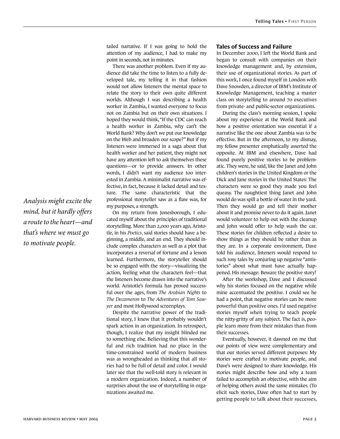tailed narrative. If I was going to hold the attention of my audience, I had to make my point in seconds, not in minutes.

There was another problem. Even if my audience did take the time to listen to a fully developed tale, my telling it in that fashion would not allow listeners the mental space to relate the story to their own quite different worlds. Although I was describing a health worker in Zambia, I wanted everyone to focus not on Zambia but on their own situations. I hoped they would think, "If the CDC can reach a health worker in Zambia, why can't the World Bank? Why don't we put our knowledge on the Web and broaden our scope?" But if my listeners were immersed in a saga about that health worker and her patient, they might not have any attention left to ask themselves these questions—or to provide answers. In other words, I didn't want my audience too interested in Zambia. A minimalist narrative was effective, in fact, because it lacked detail and texture. The same characteristic that the professional storyteller saw as a flaw was, for my purposes, a strength.

On my return from Jonesborough, I educated myself about the principles of traditional storytelling. More than 2,000 years ago, Aristotle, in his *Poetics*, said stories should have a beginning, a middle, and an end. They should include complex characters as well as a plot that incorporates a reversal of fortune and a lesson learned. Furthermore, the storyteller should be so engaged with the story—visualizing the action, feeling what the characters feel—that the listeners become drawn into the narrative's world. Aristotle's formula has proved successful over the ages, from *The Arabian Nights* to *The Decameron* to *The Adventures of Tom Sawyer* and most Hollywood screenplays.

Despite the narrative power of the traditional story, I knew that it probably wouldn't spark action in an organization. In retrospect, though, I realize that my insight blinded me to something else. Believing that this wonderful and rich tradition had no place in the time-constrained world of modern business was as wrongheaded as thinking that all stories had to be full of detail and color. I would later see that the well-told story is relevant in a modern organization. Indeed, a number of surprises about the use of storytelling in organizations awaited me.

#### **Tales of Success and Failure**

In December 2000, I left the World Bank and began to consult with companies on their knowledge management and, by extension, their use of organizational stories. As part of this work, I once found myself in London with Dave Snowden, a director of IBM's Institute of Knowledge Management, teaching a master class on storytelling to around 70 executives from private- and public-sector organizations.

During the class's morning session, I spoke about my experience at the World Bank and how a positive orientation was essential if a narrative like the one about Zambia was to be effective. But in the afternoon, to my dismay, my fellow presenter emphatically asserted the opposite. At IBM and elsewhere, Dave had found purely positive stories to be problematic. They were, he said, like the Janet and John children's stories in the United Kingdom or the Dick and Jane stories in the United States: The characters were so good they made you feel queasy. The naughtiest thing Janet and John would do was spill a bottle of water in the yard. Then they would go and tell their mother about it and promise never to do it again. Janet would volunteer to help out with the cleanup and John would offer to help wash the car. These stories for children reflected a desire to show things as they should be rather than as they are. In a corporate environment, Dave told his audience, listeners would respond to such rosy tales by conjuring up negative "antistories" about what must have actually happened. His message: Beware the positive story!

After the workshop, Dave and I discussed why his stories focused on the negative while mine accentuated the positive. I could see he had a point, that negative stories can be more powerful than positive ones. I'd used negative stories myself when trying to teach people the nitty-gritty of any subject. The fact is, people learn more from their mistakes than from their successes.

Eventually, however, it dawned on me that our points of view were complementary and that our stories served different purposes: My stories were crafted to motivate people, and Dave's were designed to share knowledge. His stories might describe how and why a team failed to accomplish an objective, with the aim of helping others avoid the same mistakes. (To elicit such stories, Dave often had to start by getting people to talk about their successes,

*Analysis might excite the mind, but it hardly offers a route to the heart—and that's where we must go to motivate people.*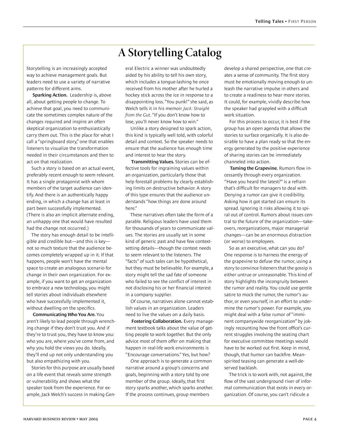## **A Storytelling Catalog**

Storytelling is an increasingly accepted way to achieve management goals. But leaders need to use a variety of narrative patterns for different aims.

**Sparking Action.** Leadership is, above all, about getting people to change. To achieve that goal, you need to communicate the sometimes complex nature of the changes required and inspire an often skeptical organization to enthusiastically carry them out. This is the place for what I call a "springboard story," one that enables listeners to visualize the transformation needed in their circumstances and then to act on that realization.

Such a story is based on an actual event, preferably recent enough to seem relevant. It has a single protagonist with whom members of the target audience can identify. And there is an authentically happy ending, in which a change has at least in part been successfully implemented. (There is also an implicit alternate ending, an unhappy one that would have resulted had the change not occurred.)

The story has enough detail to be intelligible and credible but—and this is key not so much texture that the audience becomes completely wrapped up in it. If that happens, people won't have the mental space to create an analogous scenario for change in their own organization. For example, if you want to get an organization to embrace a new technology, you might tell stories about individuals elsewhere who have successfully implemented it, without dwelling on the specifics.

**Communicating Who You Are.** You aren't likely to lead people through wrenching change if they don't trust you. And if they're to trust you, they have to know you: who you are, where you've come from, and why you hold the views you do. Ideally, they'll end up not only understanding you but also empathizing with you.

Stories for this purpose are usually based on a life event that reveals some strength or vulnerability and shows what the speaker took from the experience. For example, Jack Welch's success in making Gen-

eral Electric a winner was undoubtedly aided by his ability to tell his own story, which includes a tongue-lashing he once received from his mother after he hurled a hockey stick across the ice in response to a disappointing loss. "You punk!" she said, as Welch tells it in his memoir *Jack: Straight from the Gut*. "If you don't know how to lose, you'll never know how to win."

Unlike a story designed to spark action, this kind is typically well told, with colorful detail and context. So the speaker needs to ensure that the audience has enough time and interest to hear the story.

**Transmitting Values.** Stories can be effective tools for ingraining values within an organization, particularly those that help forestall problems by clearly establishing limits on destructive behavior. A story of this type ensures that the audience understands "how things are done around here."

These narratives often take the form of a parable. Religious leaders have used them for thousands of years to communicate values. The stories are usually set in some kind of generic past and have few contextsetting details—though the context needs to seem relevant to the listeners. The "facts" of such tales can be hypothetical, but they must be believable. For example, a story might tell the sad fate of someone who failed to see the conflict of interest in not disclosing his or her financial interest in a company supplier.

Of course, narratives alone cannot establish values in an organization. Leaders need to live the values on a daily basis.

**Fostering Collaboration.** Every management textbook talks about the value of getting people to work together. But the only advice most of them offer on making that happen in real-life work environments is "Encourage conversations." Yes, but how?

One approach is to generate a common narrative around a group's concerns and goals, beginning with a story told by one member of the group. Ideally, that first story sparks another, which sparks another. If the process continues, group members

develop a shared perspective, one that creates a sense of community. The first story must be emotionally moving enough to unleash the narrative impulse in others and to create a readiness to hear more stories. It could, for example, vividly describe how the speaker had grappled with a difficult work situation.

For this process to occur, it is best if the group has an open agenda that allows the stories to surface organically. It is also desirable to have a plan ready so that the energy generated by the positive experience of sharing stories can be immediately channeled into action.

**Taming the Grapevine.** Rumors flow incessantly through every organization. "Have you heard the latest?" is a refrain that's difficult for managers to deal with. Denying a rumor can give it credibility. Asking how it got started can ensure its spread. Ignoring it risks allowing it to spiral out of control. Rumors about issues central to the future of the organization—takeovers, reorganizations, major managerial changes—can be an enormous distraction (or worse) to employees.

So as an executive, what can you do? One response is to harness the energy of the grapevine to defuse the rumor, using a story to convince listeners that the gossip is either untrue or unreasonable. This kind of story highlights the incongruity between the rumor and reality. You could use gentle satire to mock the rumor, the rumor's author, or even yourself, in an effort to undermine the rumor's power. For example, you might deal with a false rumor of "imminent companywide reorganization" by jokingly recounting how the front office's current struggles involving the seating chart for executive committee meetings would have to be worked out first. Keep in mind, though, that humor can backfire. Meanspirited teasing can generate a well-deserved backlash.

The trick is to work with, not against, the flow of the vast underground river of informal communication that exists in every organization. Of course, you can't ridicule a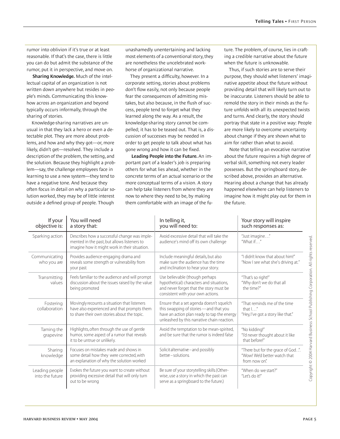rumor into oblivion if it's true or at least reasonable. If that's the case, there is little you can do but admit the substance of the rumor, put it in perspective, and move on.

**Sharing Knowledge.** Much of the intellectual capital of an organization is not written down anywhere but resides in people's minds. Communicating this knowhow across an organization and beyond typically occurs informally, through the sharing of stories.

Knowledge-sharing narratives are unusual in that they lack a hero or even a detectable plot. They are more about problems, and how and why they got—or, more likely, didn't get—resolved. They include a description of the problem, the setting, and the solution. Because they highlight a problem—say, the challenge employees face in learning to use a new system—they tend to have a negative tone. And because they often focus in detail on why a particular solution worked, they may be of little interest outside a defined group of people. Though

unashamedly unentertaining and lacking most elements of a conventional story, they are nonetheless the uncelebrated workhorse of organizational narrative.

They present a difficulty, however. In a corporate setting, stories about problems don't flow easily, not only because people fear the consequences of admitting mistakes, but also because, in the flush of success, people tend to forget what they learned along the way. As a result, the knowledge-sharing story cannot be compelled; it has to be teased out. That is, a discussion of successes may be needed in order to get people to talk about what has gone wrong and how it can be fixed.

**Leading People into the Future.** An important part of a leader's job is preparing others for what lies ahead, whether in the concrete terms of an actual scenario or the more conceptual terms of a vision. A story can help take listeners from where they are now to where they need to be, by making them comfortable with an image of the future. The problem, of course, lies in crafting a credible narrative about the future when the future is unknowable.

Thus, if such stories are to serve their purpose, they should whet listeners' imaginative appetite about the future without providing detail that will likely turn out to be inaccurate. Listeners should be able to remold the story in their minds as the future unfolds with all its unexpected twists and turns. And clearly, the story should portray that state in a positive way: People are more likely to overcome uncertainty about change if they are shown what to aim for rather than what to avoid.

Note that telling an evocative narrative about the future requires a high degree of verbal skill, something not every leader possesses. But the springboard story, described above, provides an alternative. Hearing about a change that has already happened elsewhere can help listeners to imagine how it might play out for them in the future.

| If your<br>objective is:          | You will need<br>a story that:                                                                                                               | In telling it,<br>you will need to:                                                                                                                                               | Your story will inspire<br>such responses as:                                      |
|-----------------------------------|----------------------------------------------------------------------------------------------------------------------------------------------|-----------------------------------------------------------------------------------------------------------------------------------------------------------------------------------|------------------------------------------------------------------------------------|
| Sparking action                   | Describes how a successful change was imple-<br>mented in the past, but allows listeners to<br>imagine how it might work in their situation. | Avoid excessive detail that will take the<br>audience's mind off its own challenge                                                                                                | "Just imagine"<br>"What if"                                                        |
| Communicating<br>who you are      | Provides audience-engaging drama and<br>reveals some strength or vulnerability from<br>your past                                             | Include meaningful details, but also<br>make sure the audience has the time<br>and inclination to hear your story.                                                                | "I didn't know that about him!"<br>"Now I see what she's driving at."              |
| Transmitting<br>values            | Feels familiar to the audience and will prompt<br>discussion about the issues raised by the value<br>being promoted                          | Use believable (though perhaps<br>hypothetical) characters and situations,<br>and never forget that the story must be<br>consistent with your own actions.                        | "That's so right!"<br>"Why don't we do that all<br>the time?"                      |
| Fostering<br>collaboration        | Movingly recounts a situation that listeners<br>have also experienced and that prompts them<br>to share their own stories about the topic.   | Ensure that a set agenda doesn't squelch<br>this swapping of stories - and that you<br>have an action plan ready to tap the energy<br>unleashed by this narrative chain reaction. | "That reminds me of the time<br>that $l$ "<br>"Hey, I've got a story like that."   |
| Taming the<br>grapevine           | Highlights, often through the use of gentle<br>humor, some aspect of a rumor that reveals<br>it to be untrue or unlikely.                    | Avoid the temptation to be mean-spirited,<br>and be sure that the rumor is indeed false                                                                                           | "No kidding!"<br>"I'd never thought about it like<br>that before!"                 |
| Sharing<br>knowledge              | Focuses on mistakes made and shows in<br>some detail how they were corrected, with<br>an explanation of why the solution worked              | Solicitalternative-and possibly<br>better-solutions                                                                                                                               | "There but for the grace of God.".<br>"Wow! We'd better watch that<br>from now on" |
| Leading people<br>into the future | Evokes the future you want to create without<br>providing excessive detail that will only turn<br>out to be wrong                            | Be sure of your storytelling skills (Other-<br>wise, use a story in which the past can<br>serve as a springboard to the future.)                                                  | "When do we start?"<br>"I et's do it!"                                             |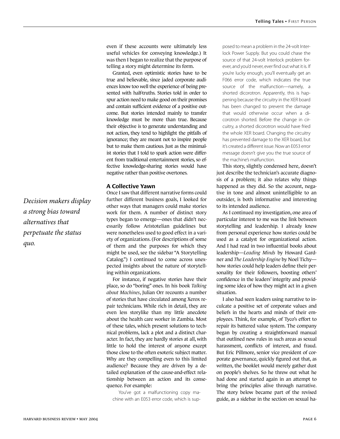even if these accounts were ultimately less useful vehicles for conveying knowledge.) It was then I began to realize that the purpose of telling a story might determine its form.

Granted, even optimistic stories have to be true and believable, since jaded corporate audiences know too well the experience of being presented with half-truths. Stories told in order to spur action need to make good on their promises and contain sufficient evidence of a positive outcome. But stories intended mainly to transfer knowledge must be more than true. Because their objective is to generate understanding and not action, they tend to highlight the pitfalls of ignorance; they are meant not to inspire people but to make them cautious. Just as the minimalist stories that I told to spark action were different from traditional entertainment stories, so effective knowledge-sharing stories would have negative rather than positive overtones.

#### **A Collective Yawn**

Once I saw that different narrative forms could further different business goals, I looked for other ways that managers could make stories work for them. A number of distinct story types began to emerge—ones that didn't necessarily follow Aristotelian guidelines but were nonetheless used to good effect in a variety of organizations. (For descriptions of some of them and the purposes for which they might be used, see the sidebar "A Storytelling Catalog.") I continued to come across unexpected insights about the nature of storytelling within organizations.

For instance, if negative stories have their place, so do "boring" ones. In his book *Talking about Machines*, Julian Orr recounts a number of stories that have circulated among Xerox repair technicians. While rich in detail, they are even less storylike than my little anecdote about the health care worker in Zambia. Most of these tales, which present solutions to technical problems, lack a plot and a distinct character. In fact, they are hardly stories at all, with little to hold the interest of anyone except those close to the often esoteric subject matter. Why are they compelling even to this limited audience? Because they are driven by a detailed explanation of the cause-and-effect relationship between an action and its consequence. For example:

You've got a malfunctioning copy machine with an E053 error code, which is sup-

posed to mean a problem in the 24-volt Interlock Power Supply. But you could chase the source of that 24-volt Interlock problem forever, and you'd never, ever find out what it is. If you're lucky enough, you'll eventually get an F066 error code, which indicates the true source of the malfunction—namely, a shorted dicorotron. Apparently, this is happening because the circuitry in the XER board has been changed to prevent the damage that would otherwise occur when a dicorotron shorted. Before the change in circuitry, a shorted dicorotron would have fried the whole XER board. Changing the circuitry has prevented damage to the XER board, but it's created a different issue. Now an E053 error message doesn't give you the true source of the machine's malfunction.

This story, slightly condensed here, doesn't just describe the technician's accurate diagnosis of a problem; it also relates why things happened as they did. So the account, negative in tone and almost unintelligible to an outsider, is both informative and interesting to its intended audience.

As I continued my investigation, one area of particular interest to me was the link between storytelling and leadership. I already knew from personal experience how stories could be used as a catalyst for organizational action. And I had read in two influential books about leadership—*Leading Minds* by Howard Gardner and *The Leadership Engine* by Noel Tichy how stories could help leaders define their personality for their followers, boosting others' confidence in the leaders' integrity and providing some idea of how they might act in a given situation.

I also had seen leaders using narrative to inculcate a positive set of corporate values and beliefs in the hearts and minds of their employees. Think, for example, of Tyco's effort to repair its battered value system. The company began by creating a straightforward manual that outlined new rules in such areas as sexual harassment, conflicts of interest, and fraud. But Eric Pillmore, senior vice president of corporate governance, quickly figured out that, as written, the booklet would merely gather dust on people's shelves. So he threw out what he had done and started again in an attempt to bring the principles alive through narrative. The story below became part of the revised guide, as a sidebar in the section on sexual ha-

*Decision makers display a strong bias toward alternatives that perpetuate the status quo.*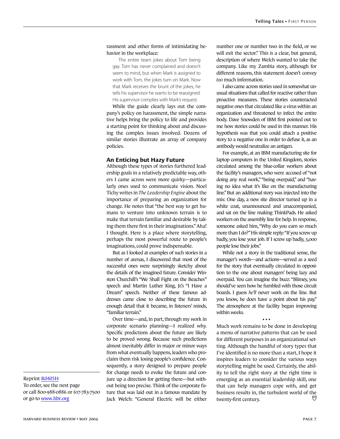#### rassment and other forms of intimidating behavior in the workplace:

The entire team jokes about Tom being gay. Tom has never complained and doesn't seem to mind, but when Mark is assigned to work with Tom, the jokes turn on Mark. Now that Mark receives the brunt of the jokes, he tells his supervisor he wants to be reassigned. His supervisor complies with Mark's request.

While the guide clearly lays out the company's policy on harassment, the simple narrative helps bring the policy to life and provides a starting point for thinking about and discussing the complex issues involved. Dozens of similar stories illustrate an array of company policies.

#### **An Enticing but Hazy Future**

Although these types of stories furthered leadership goals in a relatively predictable way, others I came across were more quirky—particularly ones used to communicate vision. Noel Tichy writes in *The Leadership Engine* about the importance of preparing an organization for change. He notes that "the best way to get humans to venture into unknown terrain is to make that terrain familiar and desirable by taking them there first in their imaginations." Aha! I thought. Here is a place where storytelling, perhaps the most powerful route to people's imaginations, could prove indispensable.

But as I looked at examples of such stories in a number of arenas, I discovered that most of the successful ones were surprisingly sketchy about the details of the imagined future. Consider Winston Churchill's "We Shall Fight on the Beaches" speech and Martin Luther King, Jr.'s "I Have a Dream" speech. Neither of these famous addresses came close to describing the future in enough detail that it became, in listeners' minds, "familiar terrain."

Over time—and, in part, through my work in corporate scenario planning—I realized why. Specific predictions about the future are likely to be proved wrong. Because such predictions almost inevitably differ in major or minor ways from what eventually happens, leaders who proclaim them risk losing people's confidence. Consequently, a story designed to prepare people for change needs to evoke the future and conjure up a direction for getting there—but without being too precise. Think of the corporate future that was laid out in a famous mandate by Jack Welch: "General Electric will be either number one or number two in the field, or we will exit the sector." This is a clear, but general, description of where Welch wanted to take the company. Like my Zambia story, although for different reasons, this statement doesn't convey *too* much information.

I also came across stories used in somewhat unusual situations that called for reactive rather than proactive measures. These stories counteracted negative ones that circulated like a virus within an organization and threatened to infect the entire body. Dave Snowden of IBM first pointed out to me how stories could be used in this manner. His hypothesis was that you could attach a positive story to a negative one in order to defuse it, as an antibody would neutralize an antigen.

For example, at an IBM manufacturing site for laptop computers in the United Kingdom, stories circulated among the blue-collar workers about the facility's managers, who were accused of "not doing any real work," "being overpaid," and "having no idea what it's like on the manufacturing line." But an additional story was injected into the mix: One day, a new site director turned up in a white coat, unannounced and unaccompanied, and sat on the line making ThinkPads. He asked workers on the assembly line for help. In response, someone asked him, "Why do you earn so much more than I do?" His simple reply: "If you screw up badly, you lose your job. If I screw up badly, 3,000 people lose their jobs."

While not a story in the traditional sense, the manager's words—and actions—served as a seed for the story that eventually circulated in opposition to the one about managers' being lazy and overpaid. You can imagine the buzz: "Blimey, you should've seen how he fumbled with those circuit boards. I guess *he'll* never work on the line. But you know, he does have a point about his pay." The atmosphere at the facility began improving within weeks.

• • • Much work remains to be done in developing a menu of narrative patterns that can be used for different purposes in an organizational setting. Although the handful of story types that I've identified is no more than a start, I hope it inspires leaders to consider the various ways storytelling might be used. Certainly, the ability to tell the right story at the right time is emerging as an essential leadership skill, one that can help managers cope with, and get business results in, the turbulent world of the U twenty-first century.

#### Reprint [R0405H](http://harvardbusinessonline.hbsp.harvard.edu/relay.jhtml?name=itemdetail&referral=4320&id=R0405H)

To order, see the next page or call 800-988-0886 or 617-783-7500 or go to [www.hbr.org](http://www.hbr.org)